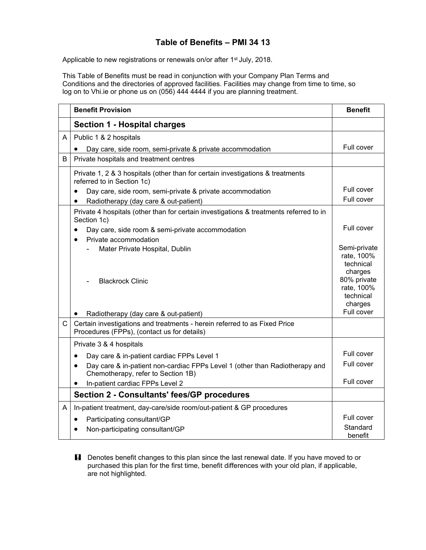## **Table of Benefits – PMI 34 13**

Applicable to new registrations or renewals on/or after 1<sup>st</sup> July, 2018.

This Table of Benefits must be read in conjunction with your Company Plan Terms and Conditions and the directories of approved facilities. Facilities may change from time to time, so log on to Vhi.ie or phone us on (056) 444 4444 if you are planning treatment.

|              | <b>Benefit Provision</b>                                                                                                       | <b>Benefit</b>                                               |
|--------------|--------------------------------------------------------------------------------------------------------------------------------|--------------------------------------------------------------|
|              | <b>Section 1 - Hospital charges</b>                                                                                            |                                                              |
| Α            | Public 1 & 2 hospitals                                                                                                         |                                                              |
|              | Day care, side room, semi-private & private accommodation                                                                      | Full cover                                                   |
| B            | Private hospitals and treatment centres                                                                                        |                                                              |
|              | Private 1, 2 & 3 hospitals (other than for certain investigations & treatments<br>referred to in Section 1c)                   |                                                              |
|              | Day care, side room, semi-private & private accommodation<br>$\bullet$                                                         | Full cover                                                   |
|              | Radiotherapy (day care & out-patient)<br>$\bullet$                                                                             | Full cover                                                   |
|              | Private 4 hospitals (other than for certain investigations & treatments referred to in<br>Section 1c)                          |                                                              |
|              | Day care, side room & semi-private accommodation<br>$\bullet$<br>Private accommodation<br>$\bullet$                            | Full cover                                                   |
|              | Mater Private Hospital, Dublin                                                                                                 | Semi-private<br>rate, 100%<br>technical                      |
|              | <b>Blackrock Clinic</b>                                                                                                        | charges<br>80% private<br>rate, 100%<br>technical<br>charges |
|              | Radiotherapy (day care & out-patient)                                                                                          | Full cover                                                   |
| $\mathsf{C}$ | Certain investigations and treatments - herein referred to as Fixed Price<br>Procedures (FPPs), (contact us for details)       |                                                              |
|              | Private 3 & 4 hospitals                                                                                                        |                                                              |
|              | Day care & in-patient cardiac FPPs Level 1<br>$\bullet$                                                                        | Full cover                                                   |
|              | Day care & in-patient non-cardiac FPPs Level 1 (other than Radiotherapy and<br>$\bullet$<br>Chemotherapy, refer to Section 1B) | Full cover                                                   |
|              | In-patient cardiac FPPs Level 2<br>٠                                                                                           | Full cover                                                   |
|              | <b>Section 2 - Consultants' fees/GP procedures</b>                                                                             |                                                              |
| A            | In-patient treatment, day-care/side room/out-patient & GP procedures                                                           |                                                              |
|              | Participating consultant/GP<br>$\bullet$                                                                                       | Full cover                                                   |
|              | Non-participating consultant/GP                                                                                                | Standard<br>benefit                                          |

**H** Denotes benefit changes to this plan since the last renewal date. If you have moved to or purchased this plan for the first time, benefit differences with your old plan, if applicable, are not highlighted.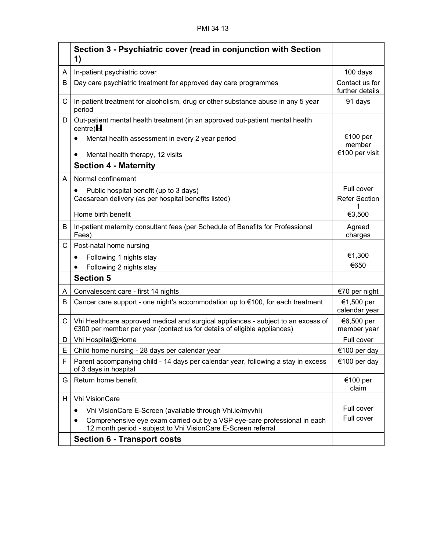|              | Section 3 - Psychiatric cover (read in conjunction with Section<br>1)                                                                                         |                                   |
|--------------|---------------------------------------------------------------------------------------------------------------------------------------------------------------|-----------------------------------|
| A            | In-patient psychiatric cover                                                                                                                                  | 100 days                          |
| B            | Day care psychiatric treatment for approved day care programmes                                                                                               | Contact us for<br>further details |
| C            | In-patient treatment for alcoholism, drug or other substance abuse in any 5 year<br>period                                                                    | 91 days                           |
| D            | Out-patient mental health treatment (in an approved out-patient mental health<br>centre) $H$                                                                  |                                   |
|              | Mental health assessment in every 2 year period<br>$\bullet$                                                                                                  | €100 per<br>member                |
|              | Mental health therapy, 12 visits                                                                                                                              | €100 per visit                    |
|              | <b>Section 4 - Maternity</b>                                                                                                                                  |                                   |
| A            | Normal confinement                                                                                                                                            |                                   |
|              | Public hospital benefit (up to 3 days)<br>$\bullet$                                                                                                           | Full cover                        |
|              | Caesarean delivery (as per hospital benefits listed)                                                                                                          | <b>Refer Section</b>              |
|              | Home birth benefit                                                                                                                                            | €3,500                            |
| B            | In-patient maternity consultant fees (per Schedule of Benefits for Professional<br>Fees)                                                                      | Agreed<br>charges                 |
| $\mathsf{C}$ | Post-natal home nursing                                                                                                                                       |                                   |
|              | Following 1 nights stay<br>$\bullet$                                                                                                                          | €1,300                            |
|              | Following 2 nights stay                                                                                                                                       | €650                              |
|              | <b>Section 5</b>                                                                                                                                              |                                   |
| A            | Convalescent care - first 14 nights                                                                                                                           | €70 per night                     |
| В            | Cancer care support - one night's accommodation up to $\epsilon$ 100, for each treatment                                                                      | €1,500 per<br>calendar year       |
| $\mathsf C$  | Vhi Healthcare approved medical and surgical appliances - subject to an excess of<br>€300 per member per year (contact us for details of eligible appliances) | €6,500 per<br>member year         |
| D            | Vhi Hospital@Home                                                                                                                                             | Full cover                        |
| E            | Child home nursing - 28 days per calendar year                                                                                                                | €100 per day                      |
| F            | Parent accompanying child - 14 days per calendar year, following a stay in excess<br>of 3 days in hospital                                                    | €100 per day                      |
| G            | Return home benefit                                                                                                                                           | €100 per<br>claim                 |
| H            | Vhi VisionCare                                                                                                                                                |                                   |
|              | Vhi VisionCare E-Screen (available through Vhi.ie/myvhi)                                                                                                      | Full cover                        |
|              | Comprehensive eye exam carried out by a VSP eye-care professional in each<br>12 month period - subject to Vhi VisionCare E-Screen referral                    | Full cover                        |
|              | <b>Section 6 - Transport costs</b>                                                                                                                            |                                   |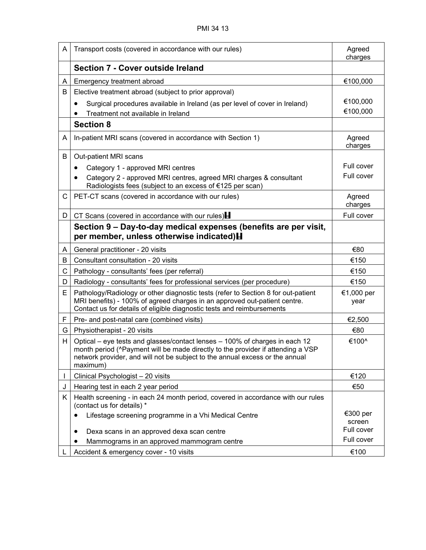| A  | Transport costs (covered in accordance with our rules)                                                                                                                                                                                                     | Agreed<br>charges  |
|----|------------------------------------------------------------------------------------------------------------------------------------------------------------------------------------------------------------------------------------------------------------|--------------------|
|    | Section 7 - Cover outside Ireland                                                                                                                                                                                                                          |                    |
| A  | Emergency treatment abroad                                                                                                                                                                                                                                 | €100,000           |
| В  | Elective treatment abroad (subject to prior approval)                                                                                                                                                                                                      |                    |
|    | Surgical procedures available in Ireland (as per level of cover in Ireland)<br>$\bullet$                                                                                                                                                                   | €100,000           |
|    | Treatment not available in Ireland                                                                                                                                                                                                                         | €100,000           |
|    | <b>Section 8</b>                                                                                                                                                                                                                                           |                    |
| A  | In-patient MRI scans (covered in accordance with Section 1)                                                                                                                                                                                                | Agreed<br>charges  |
| В  | Out-patient MRI scans                                                                                                                                                                                                                                      |                    |
|    | Category 1 - approved MRI centres                                                                                                                                                                                                                          | Full cover         |
|    | Category 2 - approved MRI centres, agreed MRI charges & consultant<br>Radiologists fees (subject to an excess of €125 per scan)                                                                                                                            | Full cover         |
| C  | PET-CT scans (covered in accordance with our rules)                                                                                                                                                                                                        | Agreed<br>charges  |
| D  | CT Scans (covered in accordance with our rules) $\blacksquare$                                                                                                                                                                                             | Full cover         |
|    | Section 9 – Day-to-day medical expenses (benefits are per visit,<br>per member, unless otherwise indicated) H                                                                                                                                              |                    |
| A  | General practitioner - 20 visits                                                                                                                                                                                                                           | €80                |
| В  | Consultant consultation - 20 visits                                                                                                                                                                                                                        | €150               |
| C  | Pathology - consultants' fees (per referral)                                                                                                                                                                                                               | €150               |
| D  | Radiology - consultants' fees for professional services (per procedure)                                                                                                                                                                                    | €150               |
| E  | Pathology/Radiology or other diagnostic tests (refer to Section 8 for out-patient<br>MRI benefits) - 100% of agreed charges in an approved out-patient centre.<br>Contact us for details of eligible diagnostic tests and reimbursements                   | €1,000 per<br>year |
| F. | Pre- and post-natal care (combined visits)                                                                                                                                                                                                                 | €2,500             |
| G  | Physiotherapist - 20 visits                                                                                                                                                                                                                                | €80                |
| H  | Optical – eye tests and glasses/contact lenses – 100% of charges in each 12<br>month period (^Payment will be made directly to the provider if attending a VSP<br>network provider, and will not be subject to the annual excess or the annual<br>maximum) | €100^              |
|    | Clinical Psychologist - 20 visits                                                                                                                                                                                                                          | €120               |
| J  | Hearing test in each 2 year period                                                                                                                                                                                                                         | €50                |
| Κ  | Health screening - in each 24 month period, covered in accordance with our rules<br>(contact us for details) *                                                                                                                                             |                    |
|    | Lifestage screening programme in a Vhi Medical Centre<br>$\bullet$                                                                                                                                                                                         | €300 per<br>screen |
|    | Dexa scans in an approved dexa scan centre<br>$\bullet$                                                                                                                                                                                                    | Full cover         |
|    | Mammograms in an approved mammogram centre                                                                                                                                                                                                                 | Full cover         |
|    | Accident & emergency cover - 10 visits                                                                                                                                                                                                                     | €100               |